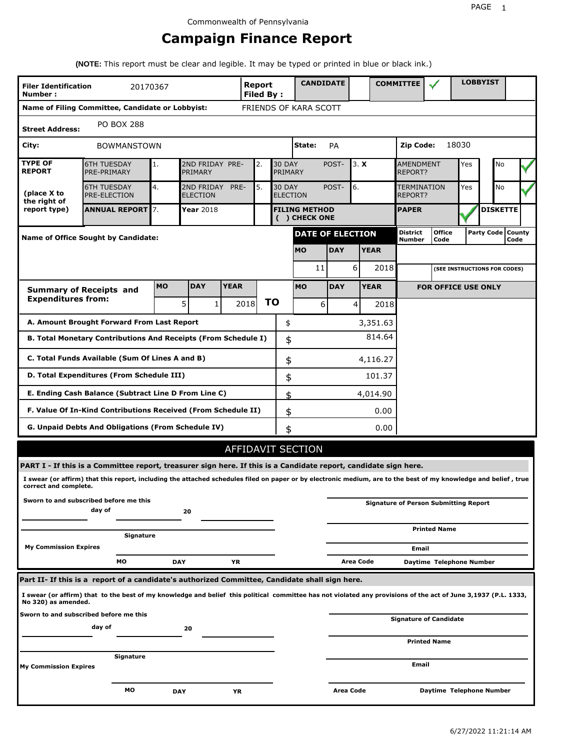# **Campaign Finance Report**

**(NOTE:** This report must be clear and legible. It may be typed or printed in blue or black ink.)

| FRIENDS OF KARA SCOTT<br>Name of Filing Committee, Candidate or Lobbyist:<br><b>PO BOX 288</b><br><b>Street Address:</b><br>18030<br>City:<br>State:<br>Zip Code:<br>PA<br><b>BOWMANSTOWN</b><br><b>TYPE OF</b><br><b>30 DAY</b><br>3. X<br><b>6TH TUESDAY</b><br>2ND FRIDAY PRE-<br>2.<br>POST-<br><b>AMENDMENT</b><br>Yes<br>No<br>1.<br><b>REPORT</b><br>PRE-PRIMARY<br>PRIMARY<br>PRIMARY<br><b>REPORT?</b><br>5.<br>4.<br><b>30 DAY</b><br>6.<br><b>No</b><br><b>6TH TUESDAY</b><br>2ND FRIDAY<br>PRE-<br>POST-<br><b>TERMINATION</b><br>Yes<br>(place X to<br><b>PRE-ELECTION</b><br><b>ELECTION</b><br><b>ELECTION</b><br>REPORT?<br>the right of<br><b>ANNUAL REPORT 7.</b><br><b>DISKETTE</b><br>report type)<br><b>Year 2018</b><br><b>FILING METHOD</b><br><b>PAPER</b><br>( ) CHECK ONE<br>Party Code   County<br>District<br><b>Office</b><br><b>DATE OF ELECTION</b><br><b>Name of Office Sought by Candidate:</b><br>Number<br>Code<br><b>DAY</b><br><b>MO</b><br><b>YEAR</b><br>6<br>2018<br>11<br>(SEE INSTRUCTIONS FOR CODES)<br><b>MO</b><br><b>DAY</b><br><b>YEAR</b><br><b>MO</b><br><b>YEAR</b><br><b>DAY</b><br><b>FOR OFFICE USE ONLY</b><br><b>Summary of Receipts and</b><br><b>Expenditures from:</b><br>ΤO<br>5<br>2018<br>1<br>6<br>$\vert$<br>2018<br>A. Amount Brought Forward From Last Report<br>\$<br>3,351.63<br>814.64<br>B. Total Monetary Contributions And Receipts (From Schedule I)<br>\$<br>C. Total Funds Available (Sum Of Lines A and B)<br>\$<br>4,116.27<br>D. Total Expenditures (From Schedule III)<br>101.37<br>\$<br>E. Ending Cash Balance (Subtract Line D From Line C)<br>\$<br>4,014.90<br>F. Value Of In-Kind Contributions Received (From Schedule II)<br>\$<br>0.00<br>G. Unpaid Debts And Obligations (From Schedule IV)<br>0.00<br>\$<br>AFFIDAVIT SECTION<br>PART I - If this is a Committee report, treasurer sign here. If this is a Candidate report, candidate sign here.<br>I swear (or affirm) that this report, including the attached schedules filed on paper or by electronic medium, are to the best of my knowledge and belief, true<br>correct and complete.<br>Sworn to and subscribed before me this<br><b>Signature of Person Submitting Report</b><br>day of<br>20<br><b>Printed Name</b><br>Signature<br><b>My Commission Expires</b><br>Email<br>МO<br><b>DAY</b><br>ΥR<br>Area Code<br>Daytime Telephone Number<br>Part II- If this is a report of a candidate's authorized Committee, Candidate shall sign here.<br>I swear (or affirm) that to the best of my knowledge and belief this political committee has not violated any provisions of the act of June 3,1937 (P.L. 1333,<br>No 320) as amended.<br>Sworn to and subscribed before me this<br><b>Signature of Candidate</b><br>day of<br>20<br><b>Printed Name</b> | <b>Filer Identification</b><br>Number: | 20170367 |  |  | <b>Report</b><br><b>Filed By:</b> |  | <b>CANDIDATE</b> |  |  |  | <b>COMMITTEE</b> |  |  | <b>LOBBYIST</b> |      |  |
|---------------------------------------------------------------------------------------------------------------------------------------------------------------------------------------------------------------------------------------------------------------------------------------------------------------------------------------------------------------------------------------------------------------------------------------------------------------------------------------------------------------------------------------------------------------------------------------------------------------------------------------------------------------------------------------------------------------------------------------------------------------------------------------------------------------------------------------------------------------------------------------------------------------------------------------------------------------------------------------------------------------------------------------------------------------------------------------------------------------------------------------------------------------------------------------------------------------------------------------------------------------------------------------------------------------------------------------------------------------------------------------------------------------------------------------------------------------------------------------------------------------------------------------------------------------------------------------------------------------------------------------------------------------------------------------------------------------------------------------------------------------------------------------------------------------------------------------------------------------------------------------------------------------------------------------------------------------------------------------------------------------------------------------------------------------------------------------------------------------------------------------------------------------------------------------------------------------------------------------------------------------------------------------------------------------------------------------------------------------------------------------------------------------------------------------------------------------------------------------------------------------------------------------------------------------------------------------------------------------------------------------------------------------------------------------------------------------------------------------------------------------------------------------------------------------|----------------------------------------|----------|--|--|-----------------------------------|--|------------------|--|--|--|------------------|--|--|-----------------|------|--|
|                                                                                                                                                                                                                                                                                                                                                                                                                                                                                                                                                                                                                                                                                                                                                                                                                                                                                                                                                                                                                                                                                                                                                                                                                                                                                                                                                                                                                                                                                                                                                                                                                                                                                                                                                                                                                                                                                                                                                                                                                                                                                                                                                                                                                                                                                                                                                                                                                                                                                                                                                                                                                                                                                                                                                                                                               |                                        |          |  |  |                                   |  |                  |  |  |  |                  |  |  |                 |      |  |
|                                                                                                                                                                                                                                                                                                                                                                                                                                                                                                                                                                                                                                                                                                                                                                                                                                                                                                                                                                                                                                                                                                                                                                                                                                                                                                                                                                                                                                                                                                                                                                                                                                                                                                                                                                                                                                                                                                                                                                                                                                                                                                                                                                                                                                                                                                                                                                                                                                                                                                                                                                                                                                                                                                                                                                                                               |                                        |          |  |  |                                   |  |                  |  |  |  |                  |  |  |                 |      |  |
|                                                                                                                                                                                                                                                                                                                                                                                                                                                                                                                                                                                                                                                                                                                                                                                                                                                                                                                                                                                                                                                                                                                                                                                                                                                                                                                                                                                                                                                                                                                                                                                                                                                                                                                                                                                                                                                                                                                                                                                                                                                                                                                                                                                                                                                                                                                                                                                                                                                                                                                                                                                                                                                                                                                                                                                                               |                                        |          |  |  |                                   |  |                  |  |  |  |                  |  |  |                 |      |  |
|                                                                                                                                                                                                                                                                                                                                                                                                                                                                                                                                                                                                                                                                                                                                                                                                                                                                                                                                                                                                                                                                                                                                                                                                                                                                                                                                                                                                                                                                                                                                                                                                                                                                                                                                                                                                                                                                                                                                                                                                                                                                                                                                                                                                                                                                                                                                                                                                                                                                                                                                                                                                                                                                                                                                                                                                               |                                        |          |  |  |                                   |  |                  |  |  |  |                  |  |  |                 |      |  |
|                                                                                                                                                                                                                                                                                                                                                                                                                                                                                                                                                                                                                                                                                                                                                                                                                                                                                                                                                                                                                                                                                                                                                                                                                                                                                                                                                                                                                                                                                                                                                                                                                                                                                                                                                                                                                                                                                                                                                                                                                                                                                                                                                                                                                                                                                                                                                                                                                                                                                                                                                                                                                                                                                                                                                                                                               |                                        |          |  |  |                                   |  |                  |  |  |  |                  |  |  |                 |      |  |
|                                                                                                                                                                                                                                                                                                                                                                                                                                                                                                                                                                                                                                                                                                                                                                                                                                                                                                                                                                                                                                                                                                                                                                                                                                                                                                                                                                                                                                                                                                                                                                                                                                                                                                                                                                                                                                                                                                                                                                                                                                                                                                                                                                                                                                                                                                                                                                                                                                                                                                                                                                                                                                                                                                                                                                                                               |                                        |          |  |  |                                   |  |                  |  |  |  |                  |  |  |                 |      |  |
|                                                                                                                                                                                                                                                                                                                                                                                                                                                                                                                                                                                                                                                                                                                                                                                                                                                                                                                                                                                                                                                                                                                                                                                                                                                                                                                                                                                                                                                                                                                                                                                                                                                                                                                                                                                                                                                                                                                                                                                                                                                                                                                                                                                                                                                                                                                                                                                                                                                                                                                                                                                                                                                                                                                                                                                                               |                                        |          |  |  |                                   |  |                  |  |  |  |                  |  |  |                 | Code |  |
|                                                                                                                                                                                                                                                                                                                                                                                                                                                                                                                                                                                                                                                                                                                                                                                                                                                                                                                                                                                                                                                                                                                                                                                                                                                                                                                                                                                                                                                                                                                                                                                                                                                                                                                                                                                                                                                                                                                                                                                                                                                                                                                                                                                                                                                                                                                                                                                                                                                                                                                                                                                                                                                                                                                                                                                                               |                                        |          |  |  |                                   |  |                  |  |  |  |                  |  |  |                 |      |  |
|                                                                                                                                                                                                                                                                                                                                                                                                                                                                                                                                                                                                                                                                                                                                                                                                                                                                                                                                                                                                                                                                                                                                                                                                                                                                                                                                                                                                                                                                                                                                                                                                                                                                                                                                                                                                                                                                                                                                                                                                                                                                                                                                                                                                                                                                                                                                                                                                                                                                                                                                                                                                                                                                                                                                                                                                               |                                        |          |  |  |                                   |  |                  |  |  |  |                  |  |  |                 |      |  |
|                                                                                                                                                                                                                                                                                                                                                                                                                                                                                                                                                                                                                                                                                                                                                                                                                                                                                                                                                                                                                                                                                                                                                                                                                                                                                                                                                                                                                                                                                                                                                                                                                                                                                                                                                                                                                                                                                                                                                                                                                                                                                                                                                                                                                                                                                                                                                                                                                                                                                                                                                                                                                                                                                                                                                                                                               |                                        |          |  |  |                                   |  |                  |  |  |  |                  |  |  |                 |      |  |
|                                                                                                                                                                                                                                                                                                                                                                                                                                                                                                                                                                                                                                                                                                                                                                                                                                                                                                                                                                                                                                                                                                                                                                                                                                                                                                                                                                                                                                                                                                                                                                                                                                                                                                                                                                                                                                                                                                                                                                                                                                                                                                                                                                                                                                                                                                                                                                                                                                                                                                                                                                                                                                                                                                                                                                                                               |                                        |          |  |  |                                   |  |                  |  |  |  |                  |  |  |                 |      |  |
|                                                                                                                                                                                                                                                                                                                                                                                                                                                                                                                                                                                                                                                                                                                                                                                                                                                                                                                                                                                                                                                                                                                                                                                                                                                                                                                                                                                                                                                                                                                                                                                                                                                                                                                                                                                                                                                                                                                                                                                                                                                                                                                                                                                                                                                                                                                                                                                                                                                                                                                                                                                                                                                                                                                                                                                                               |                                        |          |  |  |                                   |  |                  |  |  |  |                  |  |  |                 |      |  |
|                                                                                                                                                                                                                                                                                                                                                                                                                                                                                                                                                                                                                                                                                                                                                                                                                                                                                                                                                                                                                                                                                                                                                                                                                                                                                                                                                                                                                                                                                                                                                                                                                                                                                                                                                                                                                                                                                                                                                                                                                                                                                                                                                                                                                                                                                                                                                                                                                                                                                                                                                                                                                                                                                                                                                                                                               |                                        |          |  |  |                                   |  |                  |  |  |  |                  |  |  |                 |      |  |
|                                                                                                                                                                                                                                                                                                                                                                                                                                                                                                                                                                                                                                                                                                                                                                                                                                                                                                                                                                                                                                                                                                                                                                                                                                                                                                                                                                                                                                                                                                                                                                                                                                                                                                                                                                                                                                                                                                                                                                                                                                                                                                                                                                                                                                                                                                                                                                                                                                                                                                                                                                                                                                                                                                                                                                                                               |                                        |          |  |  |                                   |  |                  |  |  |  |                  |  |  |                 |      |  |
|                                                                                                                                                                                                                                                                                                                                                                                                                                                                                                                                                                                                                                                                                                                                                                                                                                                                                                                                                                                                                                                                                                                                                                                                                                                                                                                                                                                                                                                                                                                                                                                                                                                                                                                                                                                                                                                                                                                                                                                                                                                                                                                                                                                                                                                                                                                                                                                                                                                                                                                                                                                                                                                                                                                                                                                                               |                                        |          |  |  |                                   |  |                  |  |  |  |                  |  |  |                 |      |  |
|                                                                                                                                                                                                                                                                                                                                                                                                                                                                                                                                                                                                                                                                                                                                                                                                                                                                                                                                                                                                                                                                                                                                                                                                                                                                                                                                                                                                                                                                                                                                                                                                                                                                                                                                                                                                                                                                                                                                                                                                                                                                                                                                                                                                                                                                                                                                                                                                                                                                                                                                                                                                                                                                                                                                                                                                               |                                        |          |  |  |                                   |  |                  |  |  |  |                  |  |  |                 |      |  |
|                                                                                                                                                                                                                                                                                                                                                                                                                                                                                                                                                                                                                                                                                                                                                                                                                                                                                                                                                                                                                                                                                                                                                                                                                                                                                                                                                                                                                                                                                                                                                                                                                                                                                                                                                                                                                                                                                                                                                                                                                                                                                                                                                                                                                                                                                                                                                                                                                                                                                                                                                                                                                                                                                                                                                                                                               |                                        |          |  |  |                                   |  |                  |  |  |  |                  |  |  |                 |      |  |
|                                                                                                                                                                                                                                                                                                                                                                                                                                                                                                                                                                                                                                                                                                                                                                                                                                                                                                                                                                                                                                                                                                                                                                                                                                                                                                                                                                                                                                                                                                                                                                                                                                                                                                                                                                                                                                                                                                                                                                                                                                                                                                                                                                                                                                                                                                                                                                                                                                                                                                                                                                                                                                                                                                                                                                                                               |                                        |          |  |  |                                   |  |                  |  |  |  |                  |  |  |                 |      |  |
|                                                                                                                                                                                                                                                                                                                                                                                                                                                                                                                                                                                                                                                                                                                                                                                                                                                                                                                                                                                                                                                                                                                                                                                                                                                                                                                                                                                                                                                                                                                                                                                                                                                                                                                                                                                                                                                                                                                                                                                                                                                                                                                                                                                                                                                                                                                                                                                                                                                                                                                                                                                                                                                                                                                                                                                                               |                                        |          |  |  |                                   |  |                  |  |  |  |                  |  |  |                 |      |  |
|                                                                                                                                                                                                                                                                                                                                                                                                                                                                                                                                                                                                                                                                                                                                                                                                                                                                                                                                                                                                                                                                                                                                                                                                                                                                                                                                                                                                                                                                                                                                                                                                                                                                                                                                                                                                                                                                                                                                                                                                                                                                                                                                                                                                                                                                                                                                                                                                                                                                                                                                                                                                                                                                                                                                                                                                               |                                        |          |  |  |                                   |  |                  |  |  |  |                  |  |  |                 |      |  |
|                                                                                                                                                                                                                                                                                                                                                                                                                                                                                                                                                                                                                                                                                                                                                                                                                                                                                                                                                                                                                                                                                                                                                                                                                                                                                                                                                                                                                                                                                                                                                                                                                                                                                                                                                                                                                                                                                                                                                                                                                                                                                                                                                                                                                                                                                                                                                                                                                                                                                                                                                                                                                                                                                                                                                                                                               |                                        |          |  |  |                                   |  |                  |  |  |  |                  |  |  |                 |      |  |
|                                                                                                                                                                                                                                                                                                                                                                                                                                                                                                                                                                                                                                                                                                                                                                                                                                                                                                                                                                                                                                                                                                                                                                                                                                                                                                                                                                                                                                                                                                                                                                                                                                                                                                                                                                                                                                                                                                                                                                                                                                                                                                                                                                                                                                                                                                                                                                                                                                                                                                                                                                                                                                                                                                                                                                                                               |                                        |          |  |  |                                   |  |                  |  |  |  |                  |  |  |                 |      |  |
|                                                                                                                                                                                                                                                                                                                                                                                                                                                                                                                                                                                                                                                                                                                                                                                                                                                                                                                                                                                                                                                                                                                                                                                                                                                                                                                                                                                                                                                                                                                                                                                                                                                                                                                                                                                                                                                                                                                                                                                                                                                                                                                                                                                                                                                                                                                                                                                                                                                                                                                                                                                                                                                                                                                                                                                                               |                                        |          |  |  |                                   |  |                  |  |  |  |                  |  |  |                 |      |  |
|                                                                                                                                                                                                                                                                                                                                                                                                                                                                                                                                                                                                                                                                                                                                                                                                                                                                                                                                                                                                                                                                                                                                                                                                                                                                                                                                                                                                                                                                                                                                                                                                                                                                                                                                                                                                                                                                                                                                                                                                                                                                                                                                                                                                                                                                                                                                                                                                                                                                                                                                                                                                                                                                                                                                                                                                               |                                        |          |  |  |                                   |  |                  |  |  |  |                  |  |  |                 |      |  |
|                                                                                                                                                                                                                                                                                                                                                                                                                                                                                                                                                                                                                                                                                                                                                                                                                                                                                                                                                                                                                                                                                                                                                                                                                                                                                                                                                                                                                                                                                                                                                                                                                                                                                                                                                                                                                                                                                                                                                                                                                                                                                                                                                                                                                                                                                                                                                                                                                                                                                                                                                                                                                                                                                                                                                                                                               |                                        |          |  |  |                                   |  |                  |  |  |  |                  |  |  |                 |      |  |
|                                                                                                                                                                                                                                                                                                                                                                                                                                                                                                                                                                                                                                                                                                                                                                                                                                                                                                                                                                                                                                                                                                                                                                                                                                                                                                                                                                                                                                                                                                                                                                                                                                                                                                                                                                                                                                                                                                                                                                                                                                                                                                                                                                                                                                                                                                                                                                                                                                                                                                                                                                                                                                                                                                                                                                                                               |                                        |          |  |  |                                   |  |                  |  |  |  |                  |  |  |                 |      |  |
|                                                                                                                                                                                                                                                                                                                                                                                                                                                                                                                                                                                                                                                                                                                                                                                                                                                                                                                                                                                                                                                                                                                                                                                                                                                                                                                                                                                                                                                                                                                                                                                                                                                                                                                                                                                                                                                                                                                                                                                                                                                                                                                                                                                                                                                                                                                                                                                                                                                                                                                                                                                                                                                                                                                                                                                                               |                                        |          |  |  |                                   |  |                  |  |  |  |                  |  |  |                 |      |  |
|                                                                                                                                                                                                                                                                                                                                                                                                                                                                                                                                                                                                                                                                                                                                                                                                                                                                                                                                                                                                                                                                                                                                                                                                                                                                                                                                                                                                                                                                                                                                                                                                                                                                                                                                                                                                                                                                                                                                                                                                                                                                                                                                                                                                                                                                                                                                                                                                                                                                                                                                                                                                                                                                                                                                                                                                               |                                        |          |  |  |                                   |  |                  |  |  |  |                  |  |  |                 |      |  |
|                                                                                                                                                                                                                                                                                                                                                                                                                                                                                                                                                                                                                                                                                                                                                                                                                                                                                                                                                                                                                                                                                                                                                                                                                                                                                                                                                                                                                                                                                                                                                                                                                                                                                                                                                                                                                                                                                                                                                                                                                                                                                                                                                                                                                                                                                                                                                                                                                                                                                                                                                                                                                                                                                                                                                                                                               |                                        |          |  |  |                                   |  |                  |  |  |  |                  |  |  |                 |      |  |
| Signature<br>Email<br><b>My Commission Expires</b>                                                                                                                                                                                                                                                                                                                                                                                                                                                                                                                                                                                                                                                                                                                                                                                                                                                                                                                                                                                                                                                                                                                                                                                                                                                                                                                                                                                                                                                                                                                                                                                                                                                                                                                                                                                                                                                                                                                                                                                                                                                                                                                                                                                                                                                                                                                                                                                                                                                                                                                                                                                                                                                                                                                                                            |                                        |          |  |  |                                   |  |                  |  |  |  |                  |  |  |                 |      |  |
| мо<br>Area Code<br>Daytime Telephone Number<br><b>DAY</b><br>ΥR                                                                                                                                                                                                                                                                                                                                                                                                                                                                                                                                                                                                                                                                                                                                                                                                                                                                                                                                                                                                                                                                                                                                                                                                                                                                                                                                                                                                                                                                                                                                                                                                                                                                                                                                                                                                                                                                                                                                                                                                                                                                                                                                                                                                                                                                                                                                                                                                                                                                                                                                                                                                                                                                                                                                               |                                        |          |  |  |                                   |  |                  |  |  |  |                  |  |  |                 |      |  |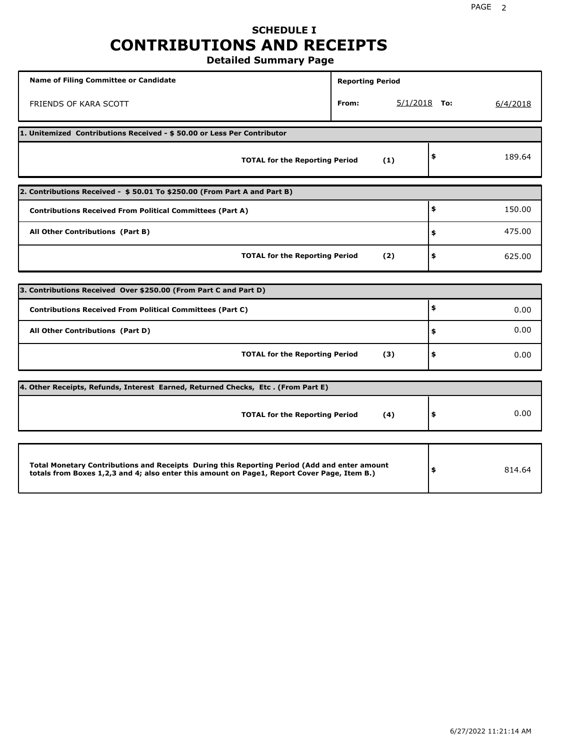## **SCHEDULE I CONTRIBUTIONS AND RECEIPTS Detailed Summary Page**

**Name of Filing Committee or Candidate Reporting Period Reporting Period** FRIENDS OF KARA SCOTT **From:** 5/1/2018 **To:** 6/4/2018 **1. Unitemized Contributions Received - \$ 50.00 or Less Per Contributor TOTAL for the Reporting Period (1) \$** 189.64 **2. Contributions Received - \$ 50.01 To \$250.00 (From Part A and Part B) TOTAL for the Reporting Period (2) Contributions Received From Political Committees (Part A) All Other Contributions (Part B) \$ \$ \$** 150.00 475.00 625.00 **3. Contributions Received Over \$250.00 (From Part C and Part D) TOTAL for the Reporting Period (3) Contributions Received From Political Committees (Part C) All Other Contributions (Part D) \$ \$ \$** 0.00 0.00 0.00 **4. Other Receipts, Refunds, Interest Earned, Returned Checks, Etc . (From Part E) TOTAL for the Reporting Period (4) \$** 0.00 **Total Monetary Contributions and Receipts During this Reporting Period (Add and enter amount totals from Boxes 1,2,3 and 4; also enter this amount on Page1, Report Cover Page, Item B.) \$** 814.64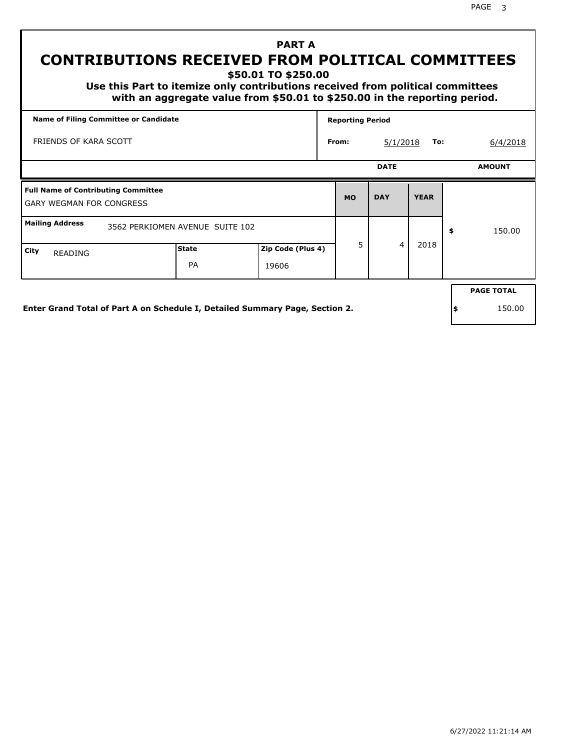PAGE 3

# **PART A CONTRIBUTIONS RECEIVED FROM POLITICAL COMMITTEES**

**\$50.01 TO \$250.00**

 **Use this Part to itemize only contributions received from political committees with an aggregate value from \$50.01 to \$250.00 in the reporting period.**

|                                                                               | Name of Filing Committee or Candidate |                            |           |             |             | <b>Reporting Period</b> |                   |  |  |  |  |
|-------------------------------------------------------------------------------|---------------------------------------|----------------------------|-----------|-------------|-------------|-------------------------|-------------------|--|--|--|--|
| FRIENDS OF KARA SCOTT                                                         | From:                                 | To:<br>5/1/2018            |           |             |             |                         |                   |  |  |  |  |
|                                                                               |                                       |                            |           | <b>DATE</b> |             |                         | <b>AMOUNT</b>     |  |  |  |  |
| <b>Full Name of Contributing Committee</b><br><b>GARY WEGMAN FOR CONGRESS</b> |                                       |                            | <b>MO</b> | <b>DAY</b>  | <b>YEAR</b> |                         |                   |  |  |  |  |
| <b>Mailing Address</b><br>3562 PERKIOMEN AVENUE SUITE 102                     |                                       |                            |           |             |             | \$                      | 150.00            |  |  |  |  |
| City<br>READING                                                               | <b>State</b><br>PA                    | Zip Code (Plus 4)<br>19606 | 5         | 4           | 2018        |                         |                   |  |  |  |  |
|                                                                               |                                       |                            |           |             |             |                         | <b>PAGE TOTAL</b> |  |  |  |  |

**Enter Grand Total of Part A on Schedule I, Detailed Summary Page, Section 2.**

**\$** 150.00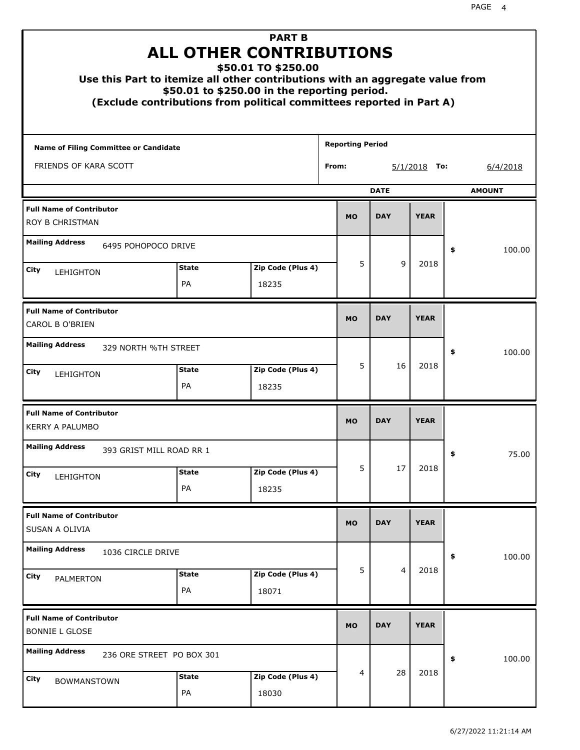|                                                           |                    | <b>PART B</b><br><b>ALL OTHER CONTRIBUTIONS</b><br>\$50.01 TO \$250.00<br>Use this Part to itemize all other contributions with an aggregate value from<br>\$50.01 to \$250.00 in the reporting period.<br>(Exclude contributions from political committees reported in Part A) |                         |                |             |               |
|-----------------------------------------------------------|--------------------|---------------------------------------------------------------------------------------------------------------------------------------------------------------------------------------------------------------------------------------------------------------------------------|-------------------------|----------------|-------------|---------------|
| <b>Name of Filing Committee or Candidate</b>              |                    |                                                                                                                                                                                                                                                                                 | <b>Reporting Period</b> |                |             |               |
| FRIENDS OF KARA SCOTT                                     | From:              |                                                                                                                                                                                                                                                                                 |                         |                |             |               |
|                                                           |                    |                                                                                                                                                                                                                                                                                 |                         | <b>DATE</b>    |             | <b>AMOUNT</b> |
| <b>Full Name of Contributor</b><br>ROY B CHRISTMAN        | <b>MO</b>          | <b>DAY</b>                                                                                                                                                                                                                                                                      | <b>YEAR</b>             |                |             |               |
| <b>Mailing Address</b><br>6495 POHOPOCO DRIVE             |                    |                                                                                                                                                                                                                                                                                 |                         |                |             | \$<br>100.00  |
| City                                                      | <b>State</b>       | Zip Code (Plus 4)                                                                                                                                                                                                                                                               | 5                       | 9              | 2018        |               |
| LEHIGHTON                                                 | PA                 | 18235                                                                                                                                                                                                                                                                           |                         |                |             |               |
| <b>Full Name of Contributor</b><br>CAROL B O'BRIEN        | <b>MO</b>          | <b>DAY</b>                                                                                                                                                                                                                                                                      | <b>YEAR</b>             |                |             |               |
| <b>Mailing Address</b><br>329 NORTH %TH STREET            |                    |                                                                                                                                                                                                                                                                                 |                         |                |             | \$<br>100.00  |
| City<br>LEHIGHTON                                         | <b>State</b><br>PA | Zip Code (Plus 4)<br>18235                                                                                                                                                                                                                                                      | 5                       | 16             | 2018        |               |
| <b>Full Name of Contributor</b><br><b>KERRY A PALUMBO</b> |                    |                                                                                                                                                                                                                                                                                 | <b>MO</b>               | <b>DAY</b>     | <b>YEAR</b> |               |
| <b>Mailing Address</b><br>393 GRIST MILL ROAD RR 1        |                    |                                                                                                                                                                                                                                                                                 |                         |                |             | 75.00<br>≯    |
| City<br>LEHIGHTON                                         | <b>State</b>       | Zip Code (Plus 4)                                                                                                                                                                                                                                                               | 5                       | 17             | 2018        |               |
|                                                           | PA                 | 18235                                                                                                                                                                                                                                                                           |                         |                |             |               |
| <b>Full Name of Contributor</b><br>SUSAN A OLIVIA         |                    |                                                                                                                                                                                                                                                                                 | <b>MO</b>               | <b>DAY</b>     | <b>YEAR</b> |               |
| <b>Mailing Address</b><br>1036 CIRCLE DRIVE               |                    |                                                                                                                                                                                                                                                                                 |                         |                |             | 100.00<br>\$  |
| City<br>PALMERTON                                         | <b>State</b><br>PA | Zip Code (Plus 4)<br>18071                                                                                                                                                                                                                                                      | 5                       | $\overline{4}$ | 2018        |               |
| <b>Full Name of Contributor</b><br><b>BONNIE L GLOSE</b>  |                    |                                                                                                                                                                                                                                                                                 | <b>MO</b>               | <b>DAY</b>     | <b>YEAR</b> |               |
| <b>Mailing Address</b><br>236 ORE STREET PO BOX 301       |                    |                                                                                                                                                                                                                                                                                 |                         |                |             | \$<br>100.00  |
| City<br><b>BOWMANSTOWN</b>                                | <b>State</b><br>PA | Zip Code (Plus 4)<br>18030                                                                                                                                                                                                                                                      | 4                       | 28             | 2018        |               |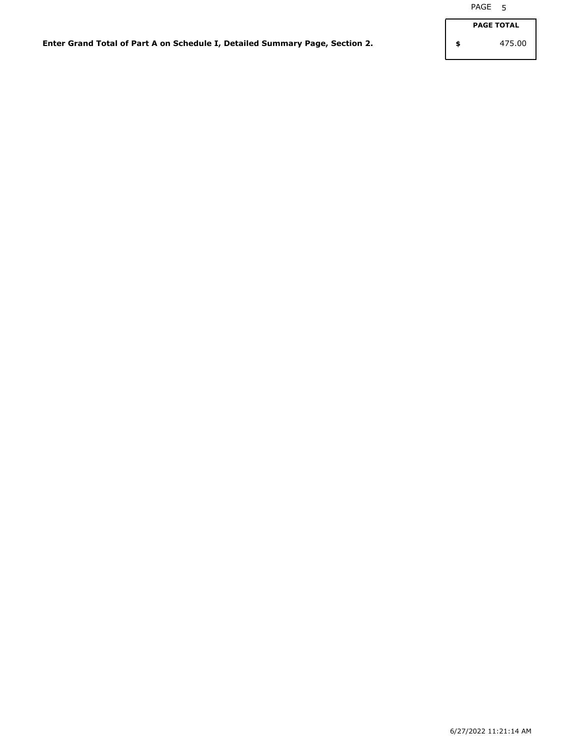**Enter Grand Total of Part A on Schedule I, Detailed Summary Page, Section 2.**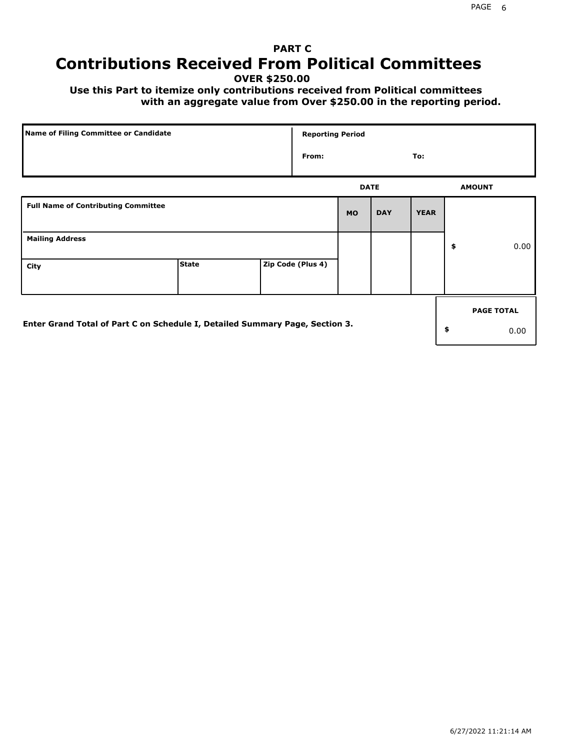# **PART C Contributions Received From Political Committees**

**OVER \$250.00**

 **Use this Part to itemize only contributions received from Political committees with an aggregate value from Over \$250.00 in the reporting period.**

|                                                                              | Name of Filing Committee or Candidate |  |                   |             |            | <b>Reporting Period</b> |    |                   |  |  |  |  |
|------------------------------------------------------------------------------|---------------------------------------|--|-------------------|-------------|------------|-------------------------|----|-------------------|--|--|--|--|
|                                                                              |                                       |  | From:             |             |            | To:                     |    |                   |  |  |  |  |
|                                                                              |                                       |  |                   | <b>DATE</b> |            |                         |    | <b>AMOUNT</b>     |  |  |  |  |
| <b>Full Name of Contributing Committee</b>                                   |                                       |  |                   | <b>MO</b>   | <b>DAY</b> | <b>YEAR</b>             |    |                   |  |  |  |  |
| <b>Mailing Address</b>                                                       |                                       |  |                   |             |            |                         | \$ | 0.00              |  |  |  |  |
| City                                                                         | <b>State</b>                          |  | Zip Code (Plus 4) |             |            |                         |    |                   |  |  |  |  |
|                                                                              |                                       |  |                   |             |            |                         |    | <b>PAGE TOTAL</b> |  |  |  |  |
| Enter Grand Total of Part C on Schedule I, Detailed Summary Page, Section 3. |                                       |  |                   |             |            |                         | \$ | 0.00              |  |  |  |  |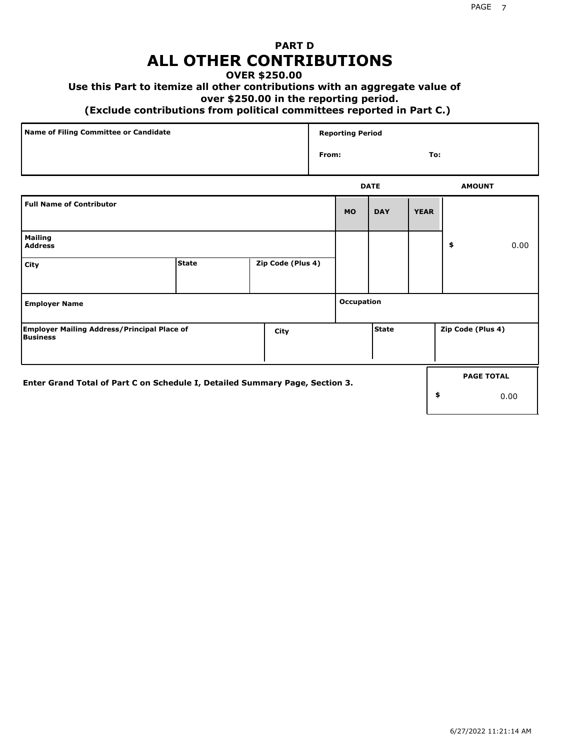## **PART D ALL OTHER CONTRIBUTIONS**

### **OVER \$250.00**

### **Use this Part to itemize all other contributions with an aggregate value of**

#### **over \$250.00 in the reporting period.**

#### **(Exclude contributions from political committees reported in Part C.)**

| Name of Filing Committee or Candidate | <b>Reporting Period</b> |     |
|---------------------------------------|-------------------------|-----|
|                                       | From:                   | To: |
|                                       |                         |     |

|                                                                              |              |                   |            | <b>DATE</b> |             | <b>AMOUNT</b>     |                   |
|------------------------------------------------------------------------------|--------------|-------------------|------------|-------------|-------------|-------------------|-------------------|
| <b>Full Name of Contributor</b>                                              |              |                   | <b>MO</b>  | <b>DAY</b>  | <b>YEAR</b> |                   |                   |
| <b>Mailing</b><br><b>Address</b>                                             |              |                   |            |             |             | \$                | 0.00              |
| City                                                                         | <b>State</b> | Zip Code (Plus 4) |            |             |             |                   |                   |
| <b>Employer Name</b>                                                         |              |                   | Occupation |             |             |                   |                   |
| <b>Employer Mailing Address/Principal Place of</b><br><b>Business</b>        |              | City              |            | State       |             | Zip Code (Plus 4) |                   |
| Enter Grand Total of Part C on Schedule I, Detailed Summary Page, Section 3. |              |                   |            |             |             |                   | <b>PAGE TOTAL</b> |
|                                                                              |              |                   |            |             | \$          |                   | 0.00              |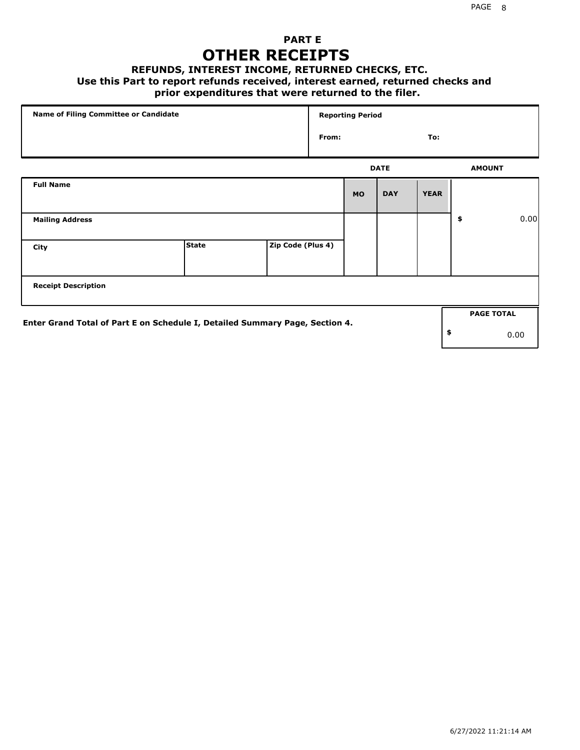## **PART E OTHER RECEIPTS**

#### **REFUNDS, INTEREST INCOME, RETURNED CHECKS, ETC.**

#### **Use this Part to report refunds received, interest earned, returned checks and**

## **prior expenditures that were returned to the filer.**

| Name of Filing Committee or Candidate                                        |              |                   |       | <b>Reporting Period</b> |             |             |    |                   |      |  |
|------------------------------------------------------------------------------|--------------|-------------------|-------|-------------------------|-------------|-------------|----|-------------------|------|--|
|                                                                              |              |                   | From: |                         |             | To:         |    |                   |      |  |
|                                                                              |              |                   |       |                         | <b>DATE</b> |             |    | <b>AMOUNT</b>     |      |  |
| <b>Full Name</b>                                                             |              |                   |       | <b>MO</b>               | <b>DAY</b>  | <b>YEAR</b> |    |                   |      |  |
| <b>Mailing Address</b>                                                       |              |                   |       |                         |             |             | \$ |                   | 0.00 |  |
| City                                                                         | <b>State</b> | Zip Code (Plus 4) |       |                         |             |             |    |                   |      |  |
| <b>Receipt Description</b>                                                   |              |                   |       |                         |             |             |    |                   |      |  |
| Enter Grand Total of Part E on Schedule I, Detailed Summary Page, Section 4. |              |                   |       |                         |             |             |    | <b>PAGE TOTAL</b> |      |  |
|                                                                              |              |                   |       |                         |             |             | \$ |                   | 0.00 |  |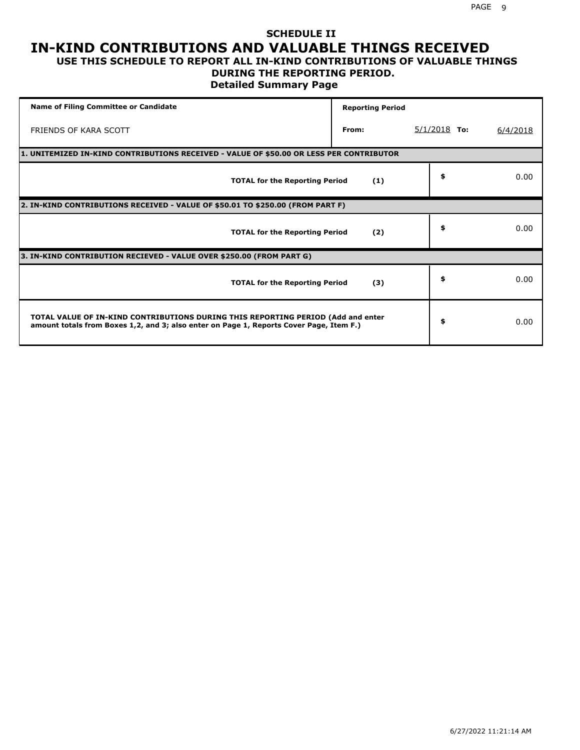### **SCHEDULE II IN-KIND CONTRIBUTIONS AND VALUABLE THINGS RECEIVED USE THIS SCHEDULE TO REPORT ALL IN-KIND CONTRIBUTIONS OF VALUABLE THINGS**

## **DURING THE REPORTING PERIOD.**

**Detailed Summary Page**

| <b>Name of Filing Committee or Candidate</b>                                                                                                                                | <b>Reporting Period</b> |                |          |
|-----------------------------------------------------------------------------------------------------------------------------------------------------------------------------|-------------------------|----------------|----------|
| FRIENDS OF KARA SCOTT                                                                                                                                                       | From:                   | $5/1/2018$ To: | 6/4/2018 |
| 1. UNITEMIZED IN-KIND CONTRIBUTIONS RECEIVED - VALUE OF \$50.00 OR LESS PER CONTRIBUTOR                                                                                     |                         |                |          |
| <b>TOTAL for the Reporting Period</b>                                                                                                                                       | (1)                     | \$             | 0.00     |
| 2. IN-KIND CONTRIBUTIONS RECEIVED - VALUE OF \$50.01 TO \$250.00 (FROM PART F)                                                                                              |                         |                |          |
| <b>TOTAL for the Reporting Period</b>                                                                                                                                       | (2)                     | \$             | 0.00     |
| 3. IN-KIND CONTRIBUTION RECIEVED - VALUE OVER \$250.00 (FROM PART G)                                                                                                        |                         |                |          |
| <b>TOTAL for the Reporting Period</b>                                                                                                                                       | (3)                     | \$             | 0.00     |
| TOTAL VALUE OF IN-KIND CONTRIBUTIONS DURING THIS REPORTING PERIOD (Add and enter<br>amount totals from Boxes 1,2, and 3; also enter on Page 1, Reports Cover Page, Item F.) |                         | \$             | 0.00     |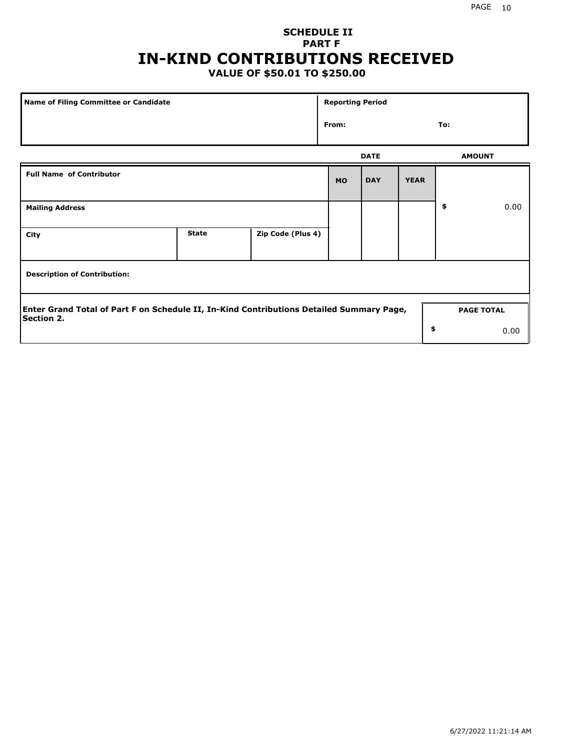## **SCHEDULE II PART F IN-KIND CONTRIBUTIONS RECEIVED**

## **VALUE OF \$50.01 TO \$250.00**

| Name of Filing Committee or Candidate                                                                         | <b>Reporting Period</b> |                   |           |             |             |    |                   |
|---------------------------------------------------------------------------------------------------------------|-------------------------|-------------------|-----------|-------------|-------------|----|-------------------|
|                                                                                                               | From:                   |                   |           | To:         |             |    |                   |
|                                                                                                               |                         |                   |           | <b>DATE</b> |             |    | <b>AMOUNT</b>     |
| <b>Full Name of Contributor</b>                                                                               |                         |                   | <b>MO</b> | <b>DAY</b>  | <b>YEAR</b> |    |                   |
| <b>Mailing Address</b>                                                                                        |                         |                   |           |             |             | \$ | 0.00              |
| City                                                                                                          | <b>State</b>            | Zip Code (Plus 4) |           |             |             |    |                   |
| <b>Description of Contribution:</b>                                                                           |                         |                   |           |             |             |    |                   |
| Enter Grand Total of Part F on Schedule II, In-Kind Contributions Detailed Summary Page,<br><b>Section 2.</b> |                         |                   |           |             |             |    | <b>PAGE TOTAL</b> |
|                                                                                                               |                         |                   |           |             | \$          |    | 0.00              |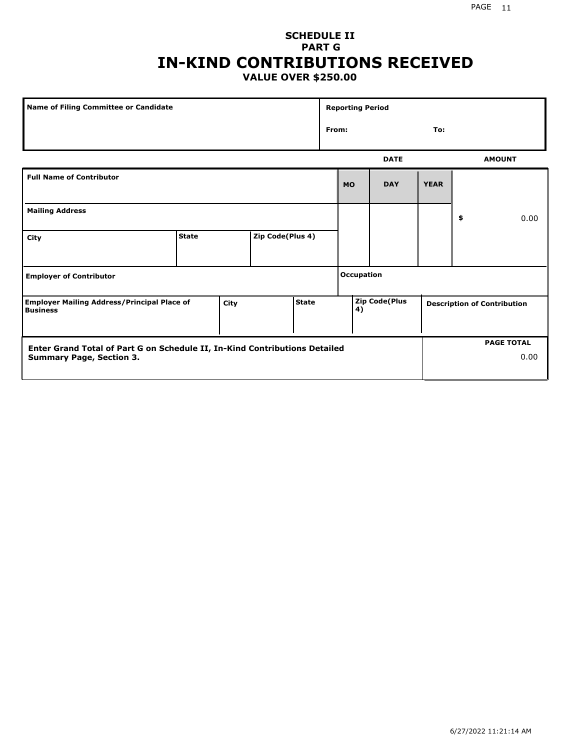#### PAGE 11

## **SCHEDULE II PART G IN-KIND CONTRIBUTIONS RECEIVED VALUE OVER \$250.00**

|                                                                                                               | <b>Name of Filing Committee or Candidate</b> |      |                  |              |                   | <b>Reporting Period</b> |                      |             |    |                                    |  |
|---------------------------------------------------------------------------------------------------------------|----------------------------------------------|------|------------------|--------------|-------------------|-------------------------|----------------------|-------------|----|------------------------------------|--|
|                                                                                                               |                                              |      |                  |              |                   | From:<br>To:            |                      |             |    |                                    |  |
|                                                                                                               |                                              |      |                  |              |                   |                         | <b>DATE</b>          |             |    | <b>AMOUNT</b>                      |  |
| <b>Full Name of Contributor</b>                                                                               |                                              |      |                  |              |                   | <b>MO</b>               | <b>DAY</b>           | <b>YEAR</b> |    |                                    |  |
| <b>Mailing Address</b>                                                                                        |                                              |      |                  |              |                   |                         |                      |             | \$ | 0.00                               |  |
| City                                                                                                          | <b>State</b>                                 |      | Zip Code(Plus 4) |              |                   |                         |                      |             |    |                                    |  |
| <b>Employer of Contributor</b>                                                                                |                                              |      |                  |              | <b>Occupation</b> |                         |                      |             |    |                                    |  |
| <b>Employer Mailing Address/Principal Place of</b><br><b>Business</b>                                         |                                              | City |                  | <b>State</b> |                   | 4)                      | <b>Zip Code(Plus</b> |             |    | <b>Description of Contribution</b> |  |
| Enter Grand Total of Part G on Schedule II, In-Kind Contributions Detailed<br><b>Summary Page, Section 3.</b> |                                              |      |                  |              |                   |                         |                      |             |    | <b>PAGE TOTAL</b><br>0.00          |  |